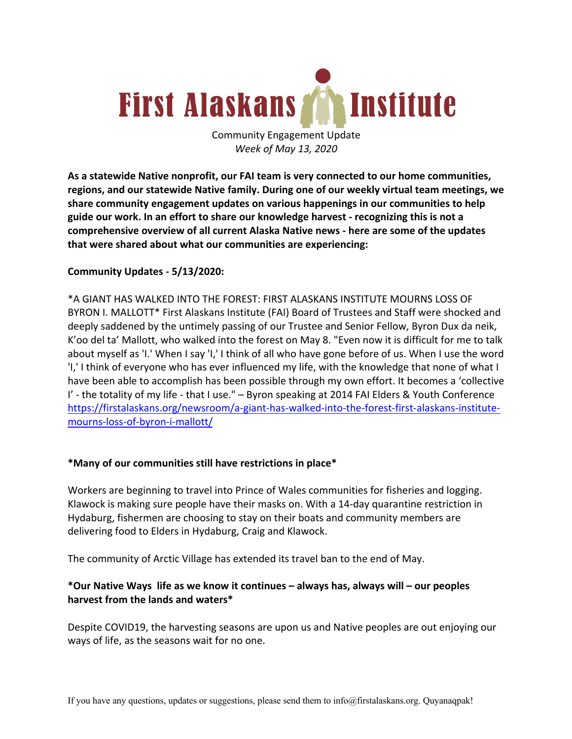# **MInstitute First Alaskans**

Community Engagement Update *Week of May 13, 2020*

**As a statewide Native nonprofit, our FAI team is very connected to our home communities, regions, and our statewide Native family. During one of our weekly virtual team meetings, we share community engagement updates on various happenings in our communities to help guide our work. In an effort to share our knowledge harvest - recognizing this is not a comprehensive overview of all current Alaska Native news - here are some of the updates that were shared about what our communities are experiencing:**

## **Community Updates - 5/13/2020:**

\*A GIANT HAS WALKED INTO THE FOREST: FIRST ALASKANS INSTITUTE MOURNS LOSS OF BYRON I. MALLOTT\* First Alaskans Institute (FAI) Board of Trustees and Staff were shocked and deeply saddened by the untimely passing of our Trustee and Senior Fellow, Byron Dux da neik, K'oo del ta' Mallott, who walked into the forest on May 8. "Even now it is difficult for me to talk about myself as 'I.' When I say 'I,' I think of all who have gone before of us. When I use the word 'I,' I think of everyone who has ever influenced my life, with the knowledge that none of what I have been able to accomplish has been possible through my own effort. It becomes a 'collective I' - the totality of my life - that I use." – Byron speaking at 2014 FAI Elders & Youth Conference https://firstalaskans.org/newsroom/a-giant-has-walked-into-the-forest-first-alaskans-institutemourns-loss-of-byron-i-mallott/

## **\*Many of our communities still have restrictions in place\***

Workers are beginning to travel into Prince of Wales communities for fisheries and logging. Klawock is making sure people have their masks on. With a 14-day quarantine restriction in Hydaburg, fishermen are choosing to stay on their boats and community members are delivering food to Elders in Hydaburg, Craig and Klawock.

The community of Arctic Village has extended its travel ban to the end of May.

## **\*Our Native Ways life as we know it continues – always has, always will – our peoples harvest from the lands and waters\***

Despite COVID19, the harvesting seasons are upon us and Native peoples are out enjoying our ways of life, as the seasons wait for no one.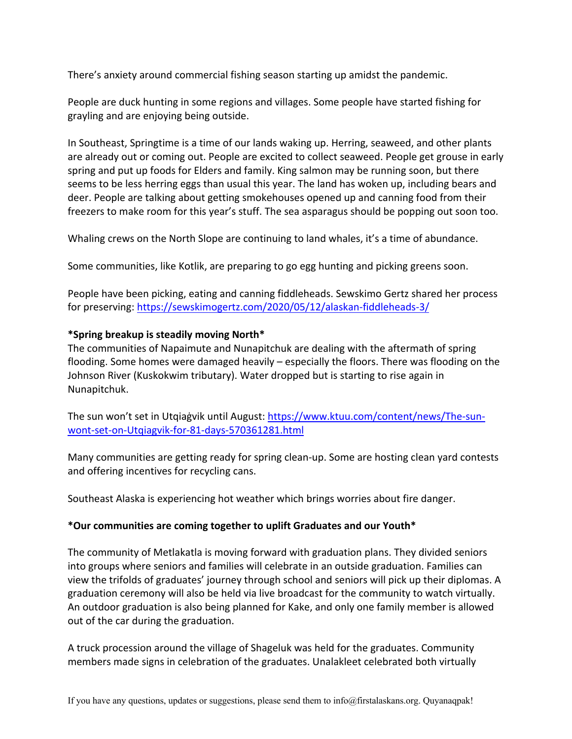There's anxiety around commercial fishing season starting up amidst the pandemic.

People are duck hunting in some regions and villages. Some people have started fishing for grayling and are enjoying being outside.

In Southeast, Springtime is a time of our lands waking up. Herring, seaweed, and other plants are already out or coming out. People are excited to collect seaweed. People get grouse in early spring and put up foods for Elders and family. King salmon may be running soon, but there seems to be less herring eggs than usual this year. The land has woken up, including bears and deer. People are talking about getting smokehouses opened up and canning food from their freezers to make room for this year's stuff. The sea asparagus should be popping out soon too.

Whaling crews on the North Slope are continuing to land whales, it's a time of abundance.

Some communities, like Kotlik, are preparing to go egg hunting and picking greens soon.

People have been picking, eating and canning fiddleheads. Sewskimo Gertz shared her process for preserving: https://sewskimogertz.com/2020/05/12/alaskan-fiddleheads-3/

#### **\*Spring breakup is steadily moving North\***

The communities of Napaimute and Nunapitchuk are dealing with the aftermath of spring flooding. Some homes were damaged heavily – especially the floors. There was flooding on the Johnson River (Kuskokwim tributary). Water dropped but is starting to rise again in Nunapitchuk.

The sun won't set in Utqiaġvik until August: https://www.ktuu.com/content/news/The-sunwont-set-on-Utqiagvik-for-81-days-570361281.html

Many communities are getting ready for spring clean-up. Some are hosting clean yard contests and offering incentives for recycling cans.

Southeast Alaska is experiencing hot weather which brings worries about fire danger.

#### **\*Our communities are coming together to uplift Graduates and our Youth\***

The community of Metlakatla is moving forward with graduation plans. They divided seniors into groups where seniors and families will celebrate in an outside graduation. Families can view the trifolds of graduates' journey through school and seniors will pick up their diplomas. A graduation ceremony will also be held via live broadcast for the community to watch virtually. An outdoor graduation is also being planned for Kake, and only one family member is allowed out of the car during the graduation.

A truck procession around the village of Shageluk was held for the graduates. Community members made signs in celebration of the graduates. Unalakleet celebrated both virtually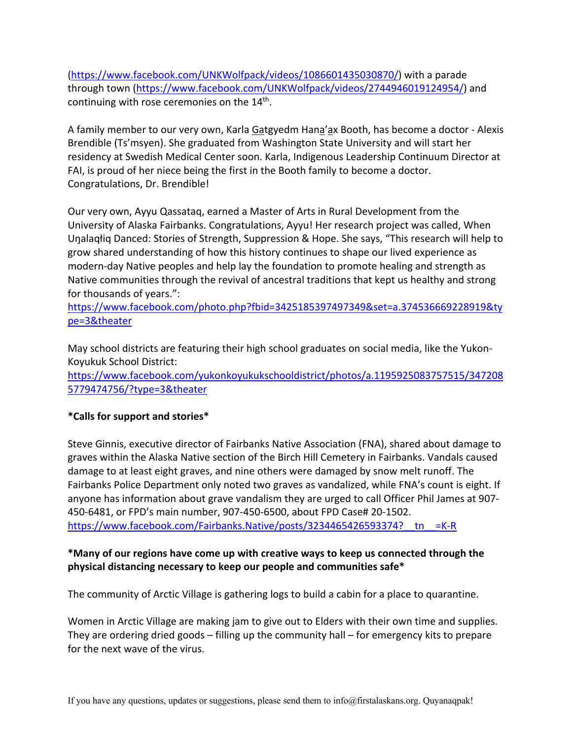(https://www.facebook.com/UNKWolfpack/videos/1086601435030870/) with a parade through town (https://www.facebook.com/UNKWolfpack/videos/2744946019124954/) and continuing with rose ceremonies on the 14<sup>th</sup>.

A family member to our very own, Karla Gatgyedm Hana'ax Booth, has become a doctor - Alexis Brendible (Ts'msyen). She graduated from Washington State University and will start her residency at Swedish Medical Center soon. Karla, Indigenous Leadership Continuum Director at FAI, is proud of her niece being the first in the Booth family to become a doctor. Congratulations, Dr. Brendible!

Our very own, Ayyu Qassataq, earned a Master of Arts in Rural Development from the University of Alaska Fairbanks. Congratulations, Ayyu! Her research project was called, When Uŋalaqłiq Danced: Stories of Strength, Suppression & Hope. She says, "This research will help to grow shared understanding of how this history continues to shape our lived experience as modern-day Native peoples and help lay the foundation to promote healing and strength as Native communities through the revival of ancestral traditions that kept us healthy and strong for thousands of years.":

https://www.facebook.com/photo.php?fbid=3425185397497349&set=a.374536669228919&ty pe=3&theater

May school districts are featuring their high school graduates on social media, like the Yukon-Koyukuk School District:

https://www.facebook.com/yukonkoyukukschooldistrict/photos/a.1195925083757515/347208 5779474756/?type=3&theater

## **\*Calls for support and stories\***

Steve Ginnis, executive director of Fairbanks Native Association (FNA), shared about damage to graves within the Alaska Native section of the Birch Hill Cemetery in Fairbanks. Vandals caused damage to at least eight graves, and nine others were damaged by snow melt runoff. The Fairbanks Police Department only noted two graves as vandalized, while FNA's count is eight. If anyone has information about grave vandalism they are urged to call Officer Phil James at 907- 450-6481, or FPD's main number, 907-450-6500, about FPD Case# 20-1502. https://www.facebook.com/Fairbanks.Native/posts/3234465426593374?\_tn\_=K-R

## **\*Many of our regions have come up with creative ways to keep us connected through the physical distancing necessary to keep our people and communities safe\***

The community of Arctic Village is gathering logs to build a cabin for a place to quarantine.

Women in Arctic Village are making jam to give out to Elders with their own time and supplies. They are ordering dried goods – filling up the community hall – for emergency kits to prepare for the next wave of the virus.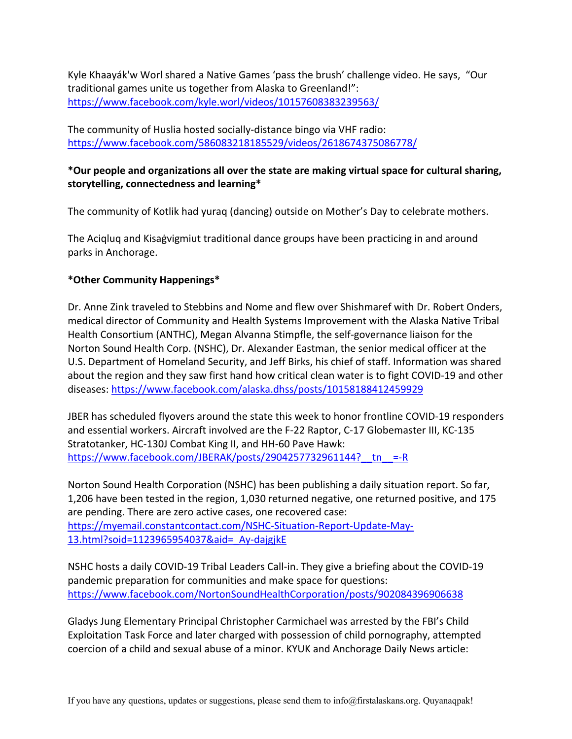Kyle Khaayák'w Worl shared a Native Games 'pass the brush' challenge video. He says, "Our traditional games unite us together from Alaska to Greenland!": https://www.facebook.com/kyle.worl/videos/10157608383239563/

The community of Huslia hosted socially-distance bingo via VHF radio: https://www.facebook.com/586083218185529/videos/2618674375086778/

## **\*Our people and organizations all over the state are making virtual space for cultural sharing, storytelling, connectedness and learning\***

The community of Kotlik had yuraq (dancing) outside on Mother's Day to celebrate mothers.

The Aciqluq and Kisaġvigmiut traditional dance groups have been practicing in and around parks in Anchorage.

## **\*Other Community Happenings\***

Dr. Anne Zink traveled to Stebbins and Nome and flew over Shishmaref with Dr. Robert Onders, medical director of Community and Health Systems Improvement with the Alaska Native Tribal Health Consortium (ANTHC), Megan Alvanna Stimpfle, the self-governance liaison for the Norton Sound Health Corp. (NSHC), Dr. Alexander Eastman, the senior medical officer at the U.S. Department of Homeland Security, and Jeff Birks, his chief of staff. Information was shared about the region and they saw first hand how critical clean water is to fight COVID-19 and other diseases: https://www.facebook.com/alaska.dhss/posts/10158188412459929

JBER has scheduled flyovers around the state this week to honor frontline COVID-19 responders and essential workers. Aircraft involved are the F-22 Raptor, C-17 Globemaster III, KC-135 Stratotanker, HC-130J Combat King II, and HH-60 Pave Hawk: https://www.facebook.com/JBERAK/posts/2904257732961144? tn =-R

Norton Sound Health Corporation (NSHC) has been publishing a daily situation report. So far, 1,206 have been tested in the region, 1,030 returned negative, one returned positive, and 175 are pending. There are zero active cases, one recovered case: https://myemail.constantcontact.com/NSHC-Situation-Report-Update-May-13.html?soid=1123965954037&aid=\_Ay-dajgjkE

NSHC hosts a daily COVID-19 Tribal Leaders Call-in. They give a briefing about the COVID-19 pandemic preparation for communities and make space for questions: https://www.facebook.com/NortonSoundHealthCorporation/posts/902084396906638

Gladys Jung Elementary Principal Christopher Carmichael was arrested by the FBI's Child Exploitation Task Force and later charged with possession of child pornography, attempted coercion of a child and sexual abuse of a minor. KYUK and Anchorage Daily News article: